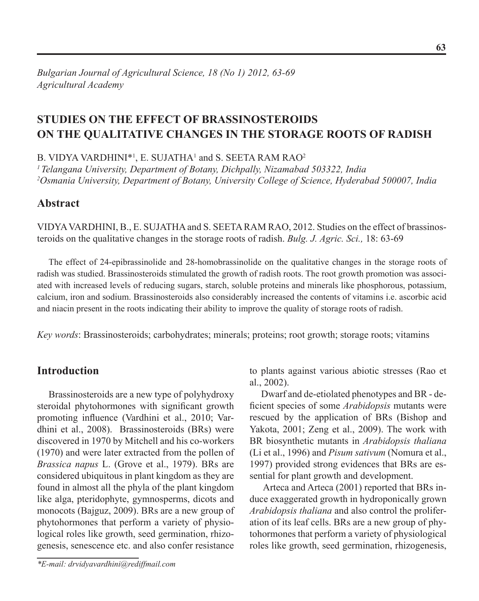# **Studies on the Effect of Brassinosteroids on the Qualitative Changes in the Storage Roots of Radish**

B. VIDYA VARDHINI\*<sup>1</sup>, E. SUJATHA<sup>1</sup> and S. SEETA RAM RAO<sup>2</sup>

*1 Telangana University, Department of Botany, Dichpally, Nizamabad 503322, India* <sup>2</sup>Osmania University, Department of Botany, University College of Science, Hyderabad 500007, India

# **Abstract**

Vidya Vardhini, B., E. Sujatha and S. Seeta Ram Rao, 2012. Studies on the effect of brassinosteroids on the qualitative changes in the storage roots of radish. *Bulg. J. Agric. Sci.,* 18: 63-69

The effect of 24-epibrassinolide and 28-homobrassinolide on the qualitative changes in the storage roots of radish was studied. Brassinosteroids stimulated the growth of radish roots. The root growth promotion was associated with increased levels of reducing sugars, starch, soluble proteins and minerals like phosphorous, potassium, calcium, iron and sodium. Brassinosteroids also considerably increased the contents of vitamins i.e. ascorbic acid and niacin present in the roots indicating their ability to improve the quality of storage roots of radish.

*Key words*: Brassinosteroids; carbohydrates; minerals; proteins; root growth; storage roots; vitamins

# **Introduction**

Brassinosteroids are a new type of polyhydroxy steroidal phytohormones with significant growth promoting influence (Vardhini et al., 2010; Vardhini et al., 2008). Brassinosteroids (BRs) were discovered in 1970 by Mitchell and his co-workers (1970) and were later extracted from the pollen of *Brassica napus* L. (Grove et al., 1979). BRs are considered ubiquitous in plant kingdom as they are found in almost all the phyla of the plant kingdom like alga, pteridophyte, gymnosperms, dicots and monocots (Bajguz, 2009). BRs are a new group of phytohormones that perform a variety of physiological roles like growth, seed germination, rhizogenesis, senescence etc. and also confer resistance

*\*E-mail: drvidyavardhini@rediffmail.com*

to plants against various abiotic stresses (Rao et al., 2002).

Dwarf and de-etiolated phenotypes and BR - deficient species of some *Arabidopsis* mutants were rescued by the application of BRs (Bishop and Yakota, 2001; Zeng et al., 2009). The work with BR biosynthetic mutants in *Arabidopsis thaliana* (Li et al., 1996) and *Pisum sativum* (Nomura et al., 1997) provided strong evidences that BRs are essential for plant growth and development.

 Arteca and Arteca (2001) reported that BRs induce exaggerated growth in hydroponically grown *Arabidopsis thaliana* and also control the proliferation of its leaf cells. BRs are a new group of phytohormones that perform a variety of physiological roles like growth, seed germination, rhizogenesis,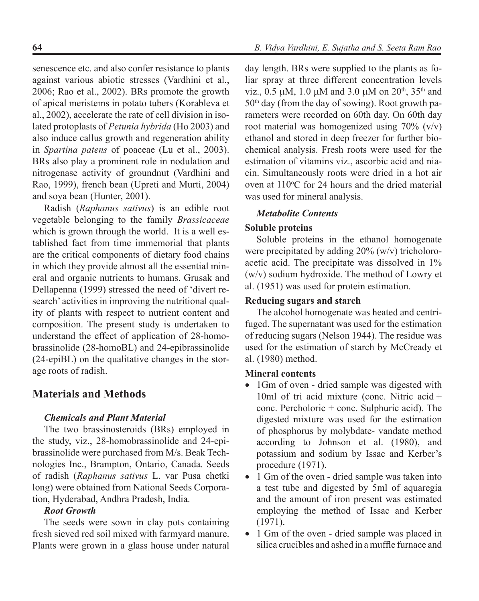senescence etc. and also confer resistance to plants against various abiotic stresses (Vardhini et al., 2006; Rao et al., 2002). BRs promote the growth of apical meristems in potato tubers (Korableva et al., 2002), accelerate the rate of cell division in isolated protoplasts of *Petunia hybrida* (Ho 2003) and also induce callus growth and regeneration ability in *Spartina patens* of poaceae (Lu et al., 2003). BRs also play a prominent role in nodulation and nitrogenase activity of groundnut (Vardhini and Rao, 1999), french bean (Upreti and Murti, 2004) and soya bean (Hunter, 2001).

Radish (*Raphanus sativus*) is an edible root vegetable belonging to the family *Brassicaceae*  which is grown through the world. It is a well established fact from time immemorial that plants are the critical components of dietary food chains in which they provide almost all the essential mineral and organic nutrients to humans. Grusak and Dellapenna (1999) stressed the need of 'divert research' activities in improving the nutritional quality of plants with respect to nutrient content and composition. The present study is undertaken to understand the effect of application of 28-homobrassinolide (28-homoBL) and 24-epibrassinolide (24-epiBL) on the qualitative changes in the storage roots of radish.

# **Materials and Methods**

### *Chemicals and Plant Material*

The two brassinosteroids (BRs) employed in the study, viz., 28-homobrassinolide and 24-epibrassinolide were purchased from M/s. Beak Technologies Inc., Brampton, Ontario, Canada. Seeds of radish (*Raphanus sativus* L. var Pusa chetki long) were obtained from National Seeds Corporation, Hyderabad, Andhra Pradesh, India.

### *Root Growth*

The seeds were sown in clay pots containing fresh sieved red soil mixed with farmyard manure. Plants were grown in a glass house under natural

day length. BRs were supplied to the plants as foliar spray at three different concentration levels viz.,  $0.5 \mu M$ , 1.0  $\mu$ M and 3.0  $\mu$ M on 20<sup>th</sup>, 35<sup>th</sup> and  $50<sup>th</sup>$  day (from the day of sowing). Root growth parameters were recorded on 60th day. On 60th day root material was homogenized using 70% (v/v) ethanol and stored in deep freezer for further biochemical analysis. Fresh roots were used for the estimation of vitamins viz., ascorbic acid and niacin. Simultaneously roots were dried in a hot air oven at  $110^{\circ}$ C for 24 hours and the dried material was used for mineral analysis.

# *Metabolite Contents*

# **Soluble proteins**

Soluble proteins in the ethanol homogenate were precipitated by adding 20% (w/v) tricholoroacetic acid. The precipitate was dissolved in 1% (w/v) sodium hydroxide. The method of Lowry et al. (1951) was used for protein estimation.

# **Reducing sugars and starch**

The alcohol homogenate was heated and centrifuged. The supernatant was used for the estimation of reducing sugars (Nelson 1944). The residue was used for the estimation of starch by McCready et al. (1980) method.

# **Mineral contents**

- 1Gm of oven dried sample was digested with 10ml of tri acid mixture (conc. Nitric acid + conc. Percholoric + conc. Sulphuric acid). The digested mixture was used for the estimation of phosphorus by molybdate- vandate method according to Johnson et al. (1980), and potassium and sodium by Issac and Kerber's procedure (1971).
- 1 Gm of the oven dried sample was taken into a test tube and digested by 5ml of aquaregia and the amount of iron present was estimated employing the method of Issac and Kerber (1971).
- 1 Gm of the oven dried sample was placed in silica crucibles and ashed in a muffle furnace and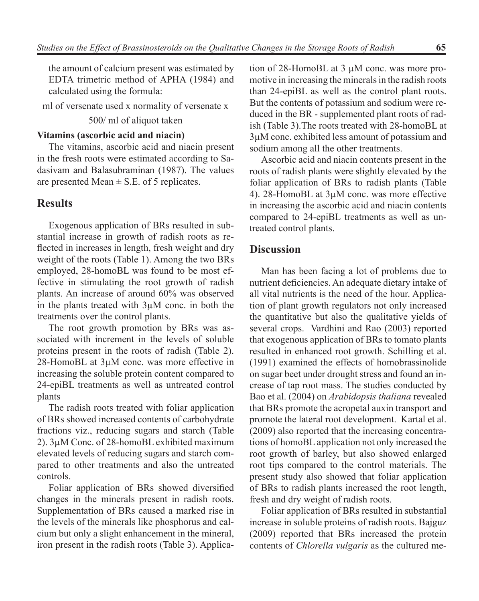the amount of calcium present was estimated by EDTA trimetric method of APHA (1984) and calculated using the formula:

ml of versenate used x normality of versenate x

#### 500/ ml of aliquot taken

#### **Vitamins (ascorbic acid and niacin)**

The vitamins, ascorbic acid and niacin present in the fresh roots were estimated according to Sadasivam and Balasubraminan (1987). The values are presented Mean  $\pm$  S.E. of 5 replicates.

#### **Results**

Exogenous application of BRs resulted in substantial increase in growth of radish roots as reflected in increases in length, fresh weight and dry weight of the roots (Table 1). Among the two BRs employed, 28-homoBL was found to be most effective in stimulating the root growth of radish plants. An increase of around 60% was observed in the plants treated with 3µM conc. in both the treatments over the control plants.

The root growth promotion by BRs was associated with increment in the levels of soluble proteins present in the roots of radish (Table 2). 28-HomoBL at 3µM conc. was more effective in increasing the soluble protein content compared to 24-epiBL treatments as well as untreated control plants

The radish roots treated with foliar application of BRs showed increased contents of carbohydrate fractions viz., reducing sugars and starch (Table 2). 3µM Conc. of 28-homoBL exhibited maximum elevated levels of reducing sugars and starch compared to other treatments and also the untreated controls.

Foliar application of BRs showed diversified changes in the minerals present in radish roots. Supplementation of BRs caused a marked rise in the levels of the minerals like phosphorus and calcium but only a slight enhancement in the mineral, iron present in the radish roots (Table 3). Applica-

tion of 28-HomoBL at 3 µM conc. was more promotive in increasing the minerals in the radish roots than 24-epiBL as well as the control plant roots. But the contents of potassium and sodium were reduced in the BR - supplemented plant roots of radish (Table 3).The roots treated with 28-homoBL at 3µM conc. exhibited less amount of potassium and sodium among all the other treatments.

Ascorbic acid and niacin contents present in the roots of radish plants were slightly elevated by the foliar application of BRs to radish plants (Table 4). 28-HomoBL at 3µM conc. was more effective in increasing the ascorbic acid and niacin contents compared to 24-epiBL treatments as well as untreated control plants.

#### **Discussion**

Man has been facing a lot of problems due to nutrient deficiencies. An adequate dietary intake of all vital nutrients is the need of the hour. Application of plant growth regulators not only increased the quantitative but also the qualitative yields of several crops. Vardhini and Rao (2003) reported that exogenous application of BRs to tomato plants resulted in enhanced root growth. Schilling et al. (1991) examined the effects of homobrassinolide on sugar beet under drought stress and found an increase of tap root mass. The studies conducted by Bao et al. (2004) on *Arabidopsis thaliana* revealed that BRs promote the acropetal auxin transport and promote the lateral root development. Kartal et al. (2009) also reported that the increasing concentrations of homoBL application not only increased the root growth of barley, but also showed enlarged root tips compared to the control materials. The present study also showed that foliar application of BRs to radish plants increased the root length, fresh and dry weight of radish roots.

Foliar application of BRs resulted in substantial increase in soluble proteins of radish roots. Bajguz (2009) reported that BRs increased the protein contents of *Chlorella vulgaris* as the cultured me-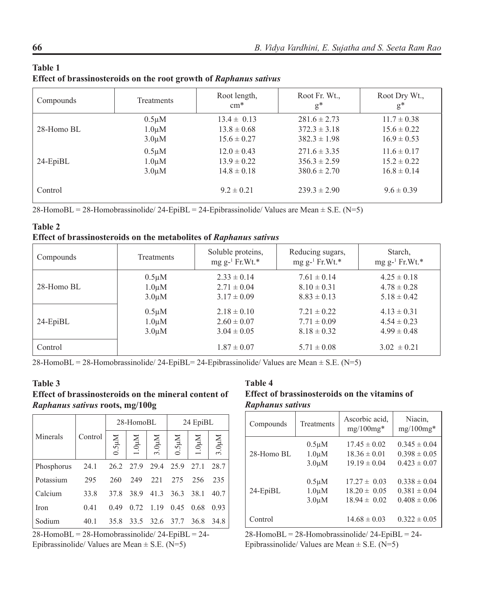| Compounds      | Treatments  | Root length,<br>$cm*$ | Root Fr. Wt.,<br>$g^*$ | Root Dry Wt.,<br>$g^*$ |
|----------------|-------------|-----------------------|------------------------|------------------------|
| $28 -$ Homo BL | $0.5 \mu M$ | $13.4 \pm 0.13$       | $281.6 \pm 2.73$       | $11.7 \pm 0.38$        |
|                | $1.0 \mu M$ | $13.8 \pm 0.68$       | $372.3 \pm 3.18$       | $15.6 \pm 0.22$        |
|                | $3.0 \mu M$ | $15.6 \pm 0.27$       | $382.3 \pm 1.98$       | $16.9 \pm 0.53$        |
| $24$ -EpiBL    | $0.5 \mu M$ | $12.0 \pm 0.43$       | $271.6 \pm 3.35$       | $11.6 \pm 0.17$        |
|                | $1.0 \mu M$ | $13.9 \pm 0.22$       | $356.3 \pm 2.59$       | $15.2 \pm 0.22$        |
|                | $3.0 \mu M$ | $14.8 \pm 0.18$       | $380.6 \pm 2.70$       | $16.8 \pm 0.14$        |
| Control        |             | $9.2 \pm 0.21$        | $239.3 \pm 2.90$       | $9.6 \pm 0.39$         |

#### **Table 1 Effect of brassinosteroids on the root growth of** *Raphanus sativus*

 $28$ -HomoBL = 28-Homobrassinolide/ 24-EpiBL = 24-Epibrassinolide/ Values are Mean  $\pm$  S.E. (N=5)

| <b>Table 2</b>                                                           |  |  |
|--------------------------------------------------------------------------|--|--|
| <b>Effect of brassinosteroids on the metabolites of Raphanus sativus</b> |  |  |

| Compounds   | Treatments  | Soluble proteins,<br>mg $g^{-1}$ Fr. Wt.* | Reducing sugars,<br>$mgg^{-1}$ Fr. Wt.* | Starch,<br>mg $g^{-1}$ Fr. Wt.* |
|-------------|-------------|-------------------------------------------|-----------------------------------------|---------------------------------|
| 28-Homo BL  | $0.5 \mu M$ | $2.33 \pm 0.14$                           | $7.61 \pm 0.14$                         | $4.25 \pm 0.18$                 |
|             | $1.0 \mu M$ | $2.71 \pm 0.04$                           | $8.10 \pm 0.31$                         | $4.78 \pm 0.28$                 |
|             | $3.0 \mu M$ | $3.17 \pm 0.09$                           | $8.83 \pm 0.13$                         | $5.18 \pm 0.42$                 |
| $24$ -EpiBL | $0.5 \mu M$ | $2.18 \pm 0.10$                           | $7.21 \pm 0.22$                         | $4.13 \pm 0.31$                 |
|             | $1.0 \mu M$ | $2.60 \pm 0.07$                           | $7.71 \pm 0.09$                         | $4.54 \pm 0.23$                 |
|             | $3.0 \mu M$ | $3.04 \pm 0.05$                           | $8.18 \pm 0.32$                         | $4.99 \pm 0.48$                 |
| Control     |             | $1.87 \pm 0.07$                           | $5.71 \pm 0.08$                         | $3.02 \pm 0.21$                 |

28-HomoBL = 28-Homobrassinolide/ 24-EpiBL = 24-Epibrassinolide/ Values are Mean  $\pm$  S.E. (N=5)

#### **Table 3 Effect of brassinosteroids on the mineral content of**  *Raphanus sativus* **roots, mg/100g**

|            |         | 28-HomoBL |                  |                     | 24 EpiBL       |                        |                   |
|------------|---------|-----------|------------------|---------------------|----------------|------------------------|-------------------|
| Minerals   | Control | M15.0     | $1.0\mu\hbox{M}$ | 3.0 <sub>µM</sub>   | $0.5\mu M$     | $1.0\mu\textnormal{M}$ | 3.0 <sub>µM</sub> |
| Phosphorus | 24.1    |           | 26.2 27.9        |                     | 29.4 25.9 27.1 |                        | 28.7              |
| Potassium  | 295     | 260       | 249              | 221                 | 275            | 256                    | 235               |
| Calcium    | 33.8    | 37.8      | 38.9             |                     | 41.3 36.3 38.1 |                        | 40.7              |
| Iron       | 0.41    | 0.49      | 0.72             | 1.19                | 0.45           | 0.68                   | 0.93              |
| Sodium     | 40.1    | 35.8      |                  | 33.5 32.6 37.7 36.8 |                |                        | 34.8              |

28-HomoBL = 28-Homobrassinolide/ 24-EpiBL = 24- Epibrassinolide/ Values are Mean  $\pm$  S.E. (N=5)

### **Table 4**

|  |                  |  | <b>Effect of brassinosteroids on the vitamins of</b> |  |
|--|------------------|--|------------------------------------------------------|--|
|  | Raphanus sativus |  |                                                      |  |

| Compounds   | Treatments  | Ascorbic acid,<br>$mg/100mg*$ | Niacin,<br>$mg/100mg*$ |
|-------------|-------------|-------------------------------|------------------------|
| 28-Homo BL  | $0.5 \mu M$ | $17.45 \pm 0.02$              | $0.345 \pm 0.04$       |
|             | $1.0 \mu M$ | $18.36 \pm 0.01$              | $0.398 \pm 0.05$       |
|             | $3.0 \mu M$ | $19.19 \pm 0.04$              | $0.423 \pm 0.07$       |
| $24$ -EpiBL | $0.5 \mu M$ | $17.27 \pm 0.03$              | $0.338 \pm 0.04$       |
|             | $1.0 \mu M$ | $18.20 \pm 0.05$              | $0.381 \pm 0.04$       |
|             | $3.0 \mu M$ | $18.94 \pm 0.02$              | $0.408 \pm 0.06$       |
| Control     |             | $14.68 \pm 0.03$              | $0.322 \pm 0.05$       |

28-HomoBL = 28-Homobrassinolide/ 24-EpiBL = 24- Epibrassinolide/ Values are Mean  $\pm$  S.E. (N=5)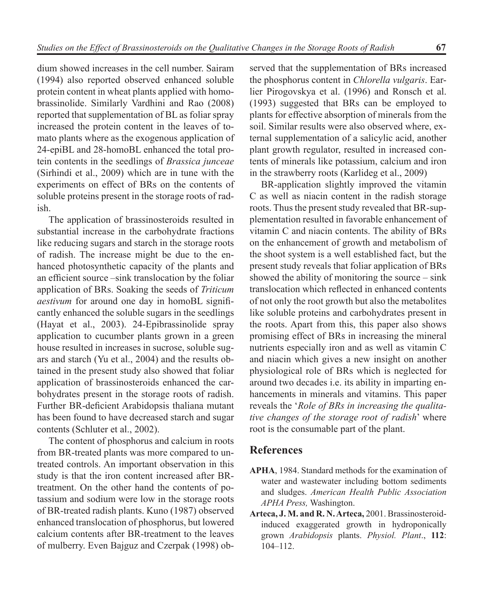dium showed increases in the cell number. Sairam (1994) also reported observed enhanced soluble protein content in wheat plants applied with homobrassinolide. Similarly Vardhini and Rao (2008) reported that supplementation of BL as foliar spray increased the protein content in the leaves of tomato plants where as the exogenous application of 24-epiBL and 28-homoBL enhanced the total protein contents in the seedlings of *Brassica junceae*  (Sirhindi et al., 2009) which are in tune with the experiments on effect of BRs on the contents of soluble proteins present in the storage roots of radish.

The application of brassinosteroids resulted in substantial increase in the carbohydrate fractions like reducing sugars and starch in the storage roots of radish. The increase might be due to the enhanced photosynthetic capacity of the plants and an efficient source –sink translocation by the foliar application of BRs. Soaking the seeds of *Triticum aestivum* for around one day in homoBL significantly enhanced the soluble sugars in the seedlings (Hayat et al., 2003). 24-Epibrassinolide spray application to cucumber plants grown in a green house resulted in increases in sucrose, soluble sugars and starch (Yu et al., 2004) and the results obtained in the present study also showed that foliar application of brassinosteroids enhanced the carbohydrates present in the storage roots of radish. Further BR-deficient Arabidopsis thaliana mutant has been found to have decreased starch and sugar contents (Schluter et al., 2002).

The content of phosphorus and calcium in roots from BR-treated plants was more compared to untreated controls. An important observation in this study is that the iron content increased after BRtreatment. On the other hand the contents of potassium and sodium were low in the storage roots of BR-treated radish plants. Kuno (1987) observed enhanced translocation of phosphorus, but lowered calcium contents after BR-treatment to the leaves of mulberry. Even Bajguz and Czerpak (1998) ob-

served that the supplementation of BRs increased the phosphorus content in *Chlorella vulgaris*. Earlier Pirogovskya et al. (1996) and Ronsch et al. (1993) suggested that BRs can be employed to plants for effective absorption of minerals from the soil. Similar results were also observed where, external supplementation of a salicylic acid, another plant growth regulator, resulted in increased contents of minerals like potassium, calcium and iron in the strawberry roots (Karlideg et al., 2009)

BR-application slightly improved the vitamin C as well as niacin content in the radish storage roots. Thus the present study revealed that BR-supplementation resulted in favorable enhancement of vitamin C and niacin contents. The ability of BRs on the enhancement of growth and metabolism of the shoot system is a well established fact, but the present study reveals that foliar application of BRs showed the ability of monitoring the source – sink translocation which reflected in enhanced contents of not only the root growth but also the metabolites like soluble proteins and carbohydrates present in the roots. Apart from this, this paper also shows promising effect of BRs in increasing the mineral nutrients especially iron and as well as vitamin C and niacin which gives a new insight on another physiological role of BRs which is neglected for around two decades i.e. its ability in imparting enhancements in minerals and vitamins. This paper reveals the '*Role of BRs in increasing the qualitative changes of the storage root of radish*' where root is the consumable part of the plant.

### **References**

- **APHA**, 1984. Standard methods for the examination of water and wastewater including bottom sediments and sludges. *American Health Public Association APHA Press,* Washington.
- **Arteca, J. M. and R. N. Arteca,** 2001. Brassinosteroidinduced exaggerated growth in hydroponically grown *Arabidopsis* plants. *Physiol. Plant*., **112**: 104–112.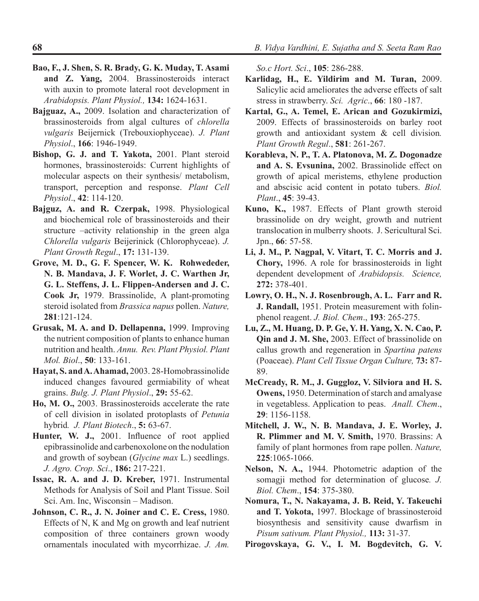- **Bao, F., J. Shen, S. R. Brady, G. K. Muday, T. Asami and Z. Yang,** 2004. Brassinosteroids interact with auxin to promote lateral root development in *Arabidopsis. Plant Physiol.,* **134:** 1624-1631.
- **Bajguaz, A.,** 2009. Isolation and characterization of brassinosteroids from algal cultures of *chlorella vulgaris* Beijernick (Trebouxiophyceae). *J. Plant Physiol*., **166**: 1946-1949.
- **Bishop, G. J. and T. Yakota,** 2001. Plant steroid hormones, brassinosteroids: Current highlights of molecular aspects on their synthesis/ metabolism, transport, perception and response. *Plant Cell Physiol*., **42**: 114-120.
- **Bajguz, A. and R. Czerpak,** 1998. Physiological and biochemical role of brassinosteroids and their structure –activity relationship in the green alga *Chlorella vulgaris* Beijerinick (Chlorophyceae). *J. Plant Growth Regul*., **17:** 131-139.
- **Grove, M. D., G. F. Spencer, W. K. Rohwededer, N. B. Mandava, J. F. Worlet, J. C. Warthen Jr, G. L. Steffens, J. L. Flippen-Andersen and J. C. Cook Jr,** 1979. Brassinolide, A plant-promoting steroid isolated from *Brassica napus* pollen. *Nature,*  **281**:121-124.
- **Grusak, M. A. and D. Dellapenna,** 1999. Improving the nutrient composition of plants to enhance human nutrition and health. *Annu. Rev. Plant Physiol. Plant Mol. Biol*., **50**: 133-161.
- **Hayat, S. and A. Ahamad,** 2003. 28-Homobrassinolide induced changes favoured germiability of wheat grains. *Bulg. J. Plant Physiol*., **29:** 55-62.
- **Ho, M. O.,** 2003. Brassinosteroids accelerate the rate of cell division in isolated protoplasts of *Petunia*  hybrid*. J. Plant Biotech*., **5:** 63-67.
- **Hunter, W. J.,** 2001. Influence of root applied epibrassinolide and carbenoxolone on the nodulation and growth of soybean (*Glycine max* L.) seedlings. *J. Agro. Crop. Sci*., **186:** 217-221.
- **Issac, R. A. and J. D. Kreber,** 1971. Instrumental Methods for Analysis of Soil and Plant Tissue. Soil Sci. Am. Inc, Wisconsin – Madison.
- **Johnson, C. R., J. N. Joiner and C. E. Cress,** 1980. Effects of N, K and Mg on growth and leaf nutrient composition of three containers grown woody ornamentals inoculated with mycorrhizae. *J. Am.*

*So.c Hort. Sci*., **105**: 286-288.

- **Karlidag, H., E. Yildirim and M. Turan,** 2009. Salicylic acid ameliorates the adverse effects of salt stress in strawberry. *Sci. Agric*., **66**: 180 -187.
- **Kartal, G., A. Temel, E. Arican and Gozukirmizi,** 2009. Effects of brassinosteroids on barley root growth and antioxidant system & cell division*. Plant Growth Regul*., **581**: 261-267.
- **Korableva, N. P., T. A. Platonova, M. Z. Dogonadze and A. S. Evsunina,** 2002. Brassinolide effect on growth of apical meristems, ethylene production and abscisic acid content in potato tubers. *Biol. Plant*., **45**: 39-43.
- **Kuno, K.,** 1987. Effects of Plant growth steroid brassinolide on dry weight, growth and nutrient translocation in mulberry shoots. J. Sericultural Sci. Jpn., **66**: 57-58.
- **Li, J. M., P. Nagpal, V. Vitart, T. C. Morris and J. Chory,** 1996. A role for brassinosteroids in light dependent development of *Arabidopsis. Science,* **272:** 378-401.
- **Lowry, O. H., N. J. Rosenbrough, A. L. Farr and R. J. Randall,** 1951. Protein measurement with folinphenol reagent. *J. Biol. Chem*., **193**: 265-275.
- **Lu, Z., M. Huang, D. P. Ge, Y. H. Yang, X. N. Cao, P. Qin and J. M. She,** 2003. Effect of brassinolide on callus growth and regeneration in *Spartina patens* (Poaceae). *Plant Cell Tissue Organ Culture,* **73:** 87- 89.
- **McCready, R. M., J. Guggloz, V. Silviora and H. S. Owens,** 1950. Determination of starch and amalyase in vegetabless. Application to peas. *Anall. Chem*., **29**: 1156-1158.
- **Mitchell, J. W., N. B. Mandava, J. E. Worley, J. R. Plimmer and M. V. Smith,** 1970. Brassins: A family of plant hormones from rape pollen. *Nature,* **225**:1065-1066.
- **Nelson, N. A.,** 1944. Photometric adaption of the somagji method for determination of glucose*. J. Biol. Chem*., **154**: 375-380.
- **Nomura, T., N. Nakayama, J. B. Reid, Y. Takeuchi and T. Yokota,** 1997. Blockage of brassinosteroid biosynthesis and sensitivity cause dwarfism in *Pisum sativum. Plant Physiol.,* **113:** 31-37.
- **Pirogovskaya, G. V., I. M. Bogdevitch, G. V.**